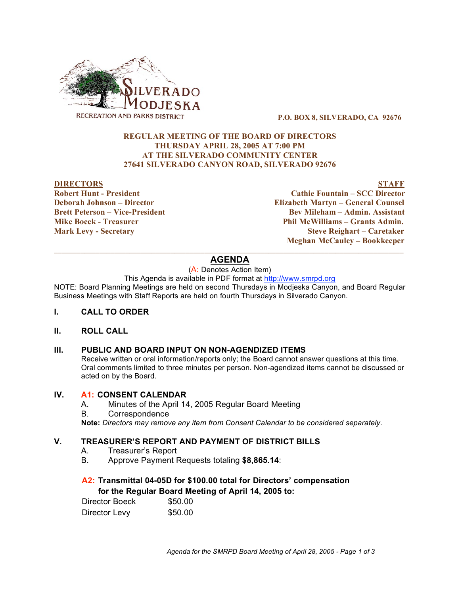

**P.O. BOX 8, SILVERADO, CA 92676**

## **REGULAR MEETING OF THE BOARD OF DIRECTORS THURSDAY APRIL 28, 2005 AT 7:00 PM AT THE SILVERADO COMMUNITY CENTER 27641 SILVERADO CANYON ROAD, SILVERADO 92676**

#### **DIRECTORS STAFF**

**Robert Hunt - President Cathie Fountain – SCC Director Deborah Johnson – Director Elizabeth Martyn – General Counsel Brett Peterson – Vice-President Bev Mileham – Admin. Assistant Mike Boeck - Treasurer Phil McWilliams – Grants Admin. Mark Levy - Secretary Steve Reighart – Caretaker Meghan McCauley – Bookkeeper**

## $\_$  ,  $\_$  ,  $\_$  ,  $\_$  ,  $\_$  ,  $\_$  ,  $\_$  ,  $\_$  ,  $\_$  ,  $\_$  ,  $\_$  ,  $\_$  ,  $\_$  ,  $\_$  ,  $\_$  ,  $\_$  ,  $\_$  ,  $\_$  ,  $\_$  ,  $\_$  ,  $\_$  ,  $\_$  ,  $\_$  ,  $\_$  ,  $\_$  ,  $\_$  ,  $\_$  ,  $\_$  ,  $\_$  ,  $\_$  ,  $\_$  ,  $\_$  ,  $\_$  ,  $\_$  ,  $\_$  ,  $\_$  ,  $\_$  , **AGENDA**

(A: Denotes Action Item)

This Agenda is available in PDF format at http://www.smrpd.org

NOTE: Board Planning Meetings are held on second Thursdays in Modjeska Canyon, and Board Regular Business Meetings with Staff Reports are held on fourth Thursdays in Silverado Canyon.

### **I. CALL TO ORDER**

## **II. ROLL CALL**

### **III. PUBLIC AND BOARD INPUT ON NON-AGENDIZED ITEMS**

Receive written or oral information/reports only; the Board cannot answer questions at this time. Oral comments limited to three minutes per person. Non-agendized items cannot be discussed or acted on by the Board.

### **IV. A1: CONSENT CALENDAR**

- A. Minutes of the April 14, 2005 Regular Board Meeting
- B. Correspondence

**Note:** *Directors may remove any item from Consent Calendar to be considered separately.*

## **V. TREASURER'S REPORT AND PAYMENT OF DISTRICT BILLS**

- A. Treasurer's Report
- B. Approve Payment Requests totaling **\$8,865.14**:

## **A2: Transmittal 04-05D for \$100.00 total for Directors' compensation for the Regular Board Meeting of April 14, 2005 to:**

| Director Boeck | \$50.00 |
|----------------|---------|
| Director Levy  | \$50.00 |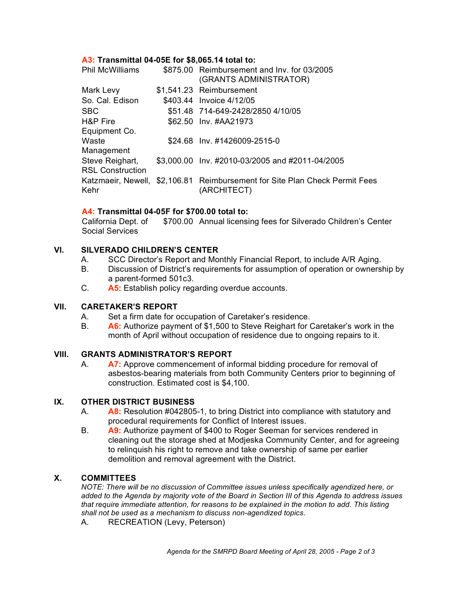## **A3: Transmittal 04-05E for \$8,065.14 total to:**

| <b>Phil McWilliams</b>  | \$875.00 Reimbursement and Inv. for 03/2005<br>(GRANTS ADMINISTRATOR)                      |
|-------------------------|--------------------------------------------------------------------------------------------|
| Mark Levy               | \$1,541.23 Reimbursement                                                                   |
| So. Cal. Edison         | \$403.44 Invoice 4/12/05                                                                   |
| <b>SBC</b>              | \$51.48 714-649-2428/2850 4/10/05                                                          |
| H&P Fire                | \$62.50 Inv. #AA21973                                                                      |
| Equipment Co.           |                                                                                            |
| Waste                   | \$24.68 Inv. #1426009-2515-0                                                               |
| Management              |                                                                                            |
| Steve Reighart,         | \$3,000.00 Inv. #2010-03/2005 and #2011-04/2005                                            |
| <b>RSL Construction</b> |                                                                                            |
| Kehr                    | Katzmaeir, Newell, \$2,106.81 Reimbursement for Site Plan Check Permit Fees<br>(ARCHITECT) |

## **A4: Transmittal 04-05F for \$700.00 total to:**

California Dept. of Social Services \$700.00 Annual licensing fees for Silverado Children's Center

## **VI. SILVERADO CHILDREN'S CENTER**

- A. SCC Director's Report and Monthly Financial Report, to include A/R Aging.
- B. Discussion of District's requirements for assumption of operation or ownership by a parent-formed 501c3.
- C. **A5:** Establish policy regarding overdue accounts.

# **VII. CARETAKER'S REPORT**

- A. Set a firm date for occupation of Caretaker's residence.
- B. **A6:** Authorize payment of \$1,500 to Steve Reighart for Caretaker's work in the month of April without occupation of residence due to ongoing repairs to it.

### **VIII. GRANTS ADMINISTRATOR'S REPORT**

A. **A7:** Approve commencement of informal bidding procedure for removal of asbestos-bearing materials from both Community Centers prior to beginning of construction. Estimated cost is \$4,100.

### **IX. OTHER DISTRICT BUSINESS**

- A. **A8:** Resolution #042805-1, to bring District into compliance with statutory and procedural requirements for Conflict of Interest issues.
- B. **A9:** Authorize payment of \$400 to Roger Seeman for services rendered in cleaning out the storage shed at Modjeska Community Center, and for agreeing to relinquish his right to remove and take ownership of same per earlier demolition and removal agreement with the District.

## **X. COMMITTEES**

*NOTE: There will be no discussion of Committee issues unless specifically agendized here, or* added to the Agenda by majority vote of the Board in Section III of this Agenda to address issues *that require immediate attention, for reasons to be explained in the motion to add. This listing shall not be used as a mechanism to discuss non-agendized topics.*

A. RECREATION (Levy, Peterson)